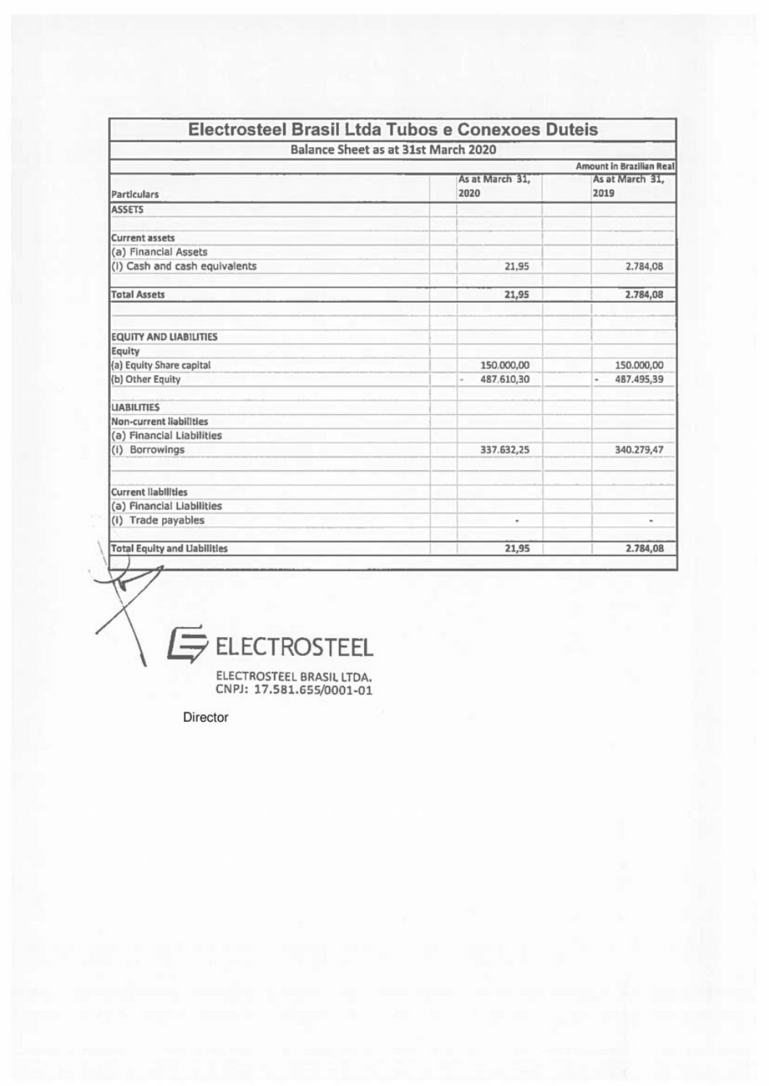| Balance Sheet as at 31st March 2020 |                         |                                        |  |  |
|-------------------------------------|-------------------------|----------------------------------------|--|--|
| Amount in Brazilian Real            |                         |                                        |  |  |
| Particulars                         | As at March 31.<br>2020 | As at March 31,<br>2019                |  |  |
| <b>ASSETS</b>                       |                         |                                        |  |  |
| <b>Current assets</b>               |                         |                                        |  |  |
| (a) Financial Assets                |                         |                                        |  |  |
| (i) Cash and cash equivalents       | 21,95                   | 2.784,08                               |  |  |
| <b>Total Assets</b>                 | 21,95                   | 2.784,08                               |  |  |
| <b>EQUITY AND LIABILITIES</b>       |                         |                                        |  |  |
| Equity                              |                         |                                        |  |  |
| (a) Equity Share capital            | 150.000,00              | 150.000,00                             |  |  |
| (b) Other Equity                    | 487.610,30              | 487.495,39<br>$\overline{\phantom{a}}$ |  |  |
| <b>LIABILITIES</b>                  |                         |                                        |  |  |
| Non-current liabilities             |                         |                                        |  |  |
| (a) Financial Liabilities           |                         |                                        |  |  |
| (i) Borrowings                      | 337.632,25              | 340.279,47                             |  |  |
| <b>Current liabilities</b>          |                         |                                        |  |  |
| (a) Financial Liabilities           |                         |                                        |  |  |
| (i) Trade payables                  | ٠                       | ٠                                      |  |  |
| <b>Total Equity and Liabilities</b> | 21,95                   | 2.784,08                               |  |  |

 $E$  ELECTROSTEEL

ELECTROSTEEL BRASIL LTDA.<br>CNPJ: 17.581.655/0001-01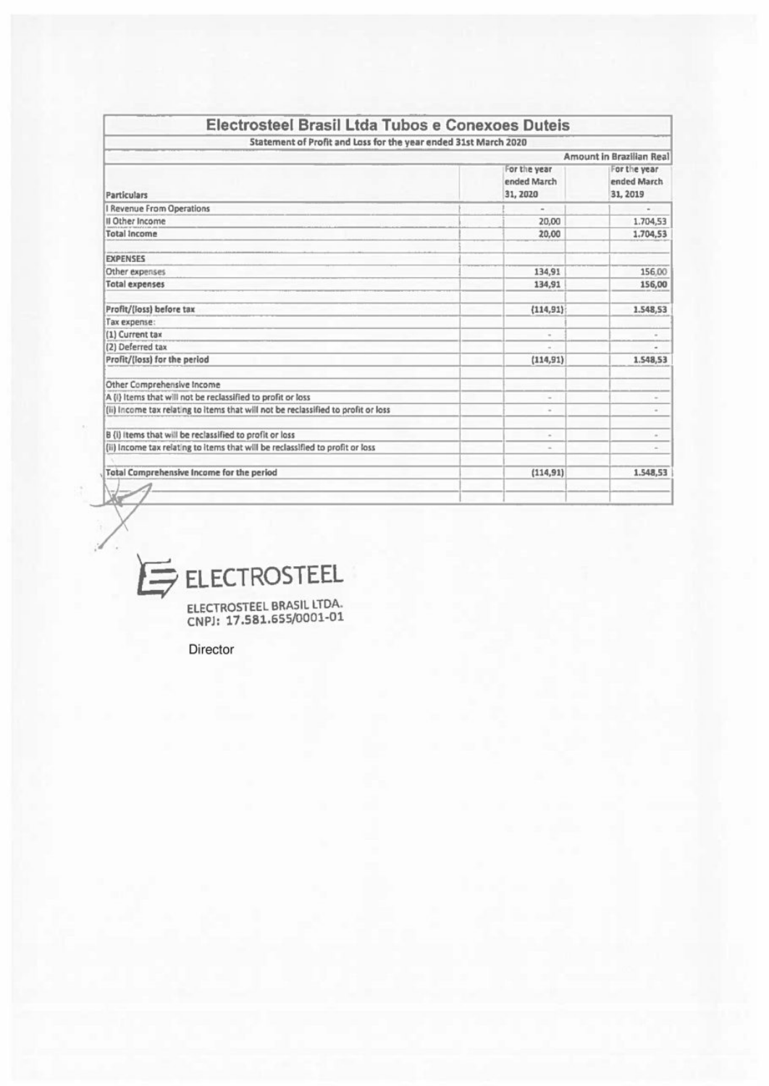| Electrosteel Brasil Ltda Tubos e Conexoes Duteis                                                                                         |                          |                                          |
|------------------------------------------------------------------------------------------------------------------------------------------|--------------------------|------------------------------------------|
| Statement of Profit and Loss for the year ended 31st March 2020                                                                          |                          | Amount in Brazilian Real                 |
|                                                                                                                                          | For the year             | For the year                             |
|                                                                                                                                          | ended March<br>31, 2020  | ended March<br>31, 2019                  |
| <b>Particulars</b><br>I Revenue From Operations                                                                                          | $\overline{\phantom{a}}$ | $\overline{\phantom{a}}$                 |
| Il Other Income<br><b>Total Income</b>                                                                                                   | 20,00<br>20,00           | 1.704,53<br>1,704,53                     |
|                                                                                                                                          |                          |                                          |
| <b>EXPENSES</b><br>Other expenses                                                                                                        | 134,91                   | 156,00                                   |
|                                                                                                                                          | 134,91                   |                                          |
|                                                                                                                                          | (114, 91)                |                                          |
|                                                                                                                                          | $\alpha$                 | $\sim$                                   |
|                                                                                                                                          | $\omega$                 | $\omega$                                 |
| <b>Total expenses</b><br>Profit/(loss) before tax<br>Tax expense:<br>(1) Current tax<br>(2) Deferred tax<br>Profit/(loss) for the period | (114, 91)                |                                          |
| Other Comprehensive Income<br>A (i) Items that will not be reclassified to profit or loss                                                | $\sim$                   | 156,00<br>1.548,53<br>1.548,53<br>$\sim$ |
| (ii) Income tax relating to items that will not be reclassified to profit or loss                                                        | $\omega$                 | $\scriptstyle\rm{m}$                     |
| B (i) items that will be reclassified to profit or loss                                                                                  | $\sim$                   | $\omega$                                 |
| (ii) Income tax relating to items that will be reclassified to profit or loss                                                            | $\sim$                   | $\sim$                                   |
| <b>Total Comprehensive Income for the period</b>                                                                                         | (114, 91)                | 1.548,53                                 |



<sup>E</sup>LECTROSTEE<sup>L</sup> <sup>B</sup>RASI<sup>L</sup> <sup>L</sup>TDA. <sup>C</sup>NP]: <sup>1</sup>7.581.655/0001-0<sup>1</sup>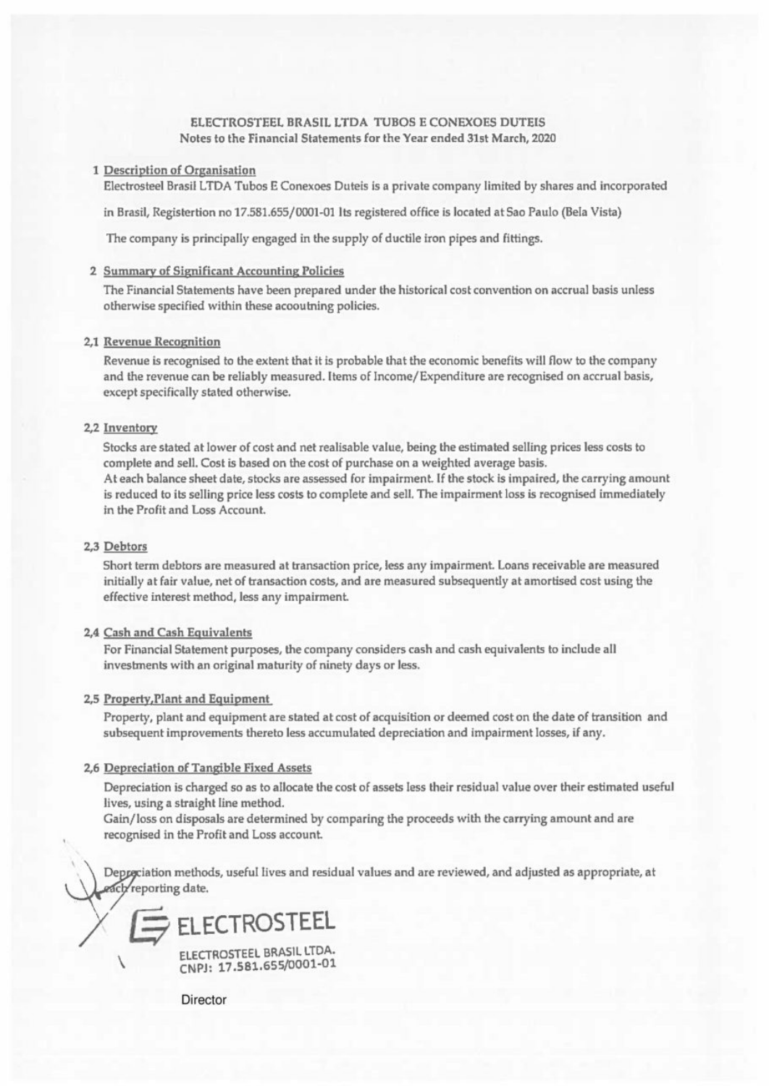# ELECTROSTEEL BRASIL LTDA TUBOS <sup>E</sup> CONEXOES DUTEIS Notes <sup>t</sup><sup>o</sup> the Financial Statements for the Year ended 31st March, 2020

#### <sup>1</sup> Description <sup>o</sup><sup>f</sup> Organisation

Electrosteel <sup>B</sup>rasi<sup>l</sup> LTDA Tubos <sup>E</sup> Conexoes Duteis <sup>i</sup><sup>s</sup> <sup>a</sup> private company limited <sup>b</sup><sup>y</sup> shares and incorporated

<sup>i</sup><sup>n</sup> Brasil, Registertion no 17.581.655/0001-01 <sup>I</sup>t<sup>s</sup> registered office <sup>i</sup><sup>s</sup> located <sup>a</sup><sup>t</sup> Sao Paulo (Bela Vista)

The company <sup>i</sup><sup>s</sup> principally engaged <sup>i</sup><sup>n</sup> <sup>t</sup>h<sup>e</sup> supply <sup>o</sup><sup>f</sup> ductile iron pipes and <sup>f</sup>ittings.

#### <sup>2</sup> Summary <sup>o</sup><sup>f</sup> Significant Accounting <sup>P</sup>olicie<sup>s</sup>

The Financial Statements have been prepared under the historical cost convention on accrual basis unless otherwise specified within these acooutning policies.

## <sup>2</sup>,<sup>1</sup> Revenue Recognition

Revenue is recognised to the extent that it is probable that the economic benefits will flow to the company and the revenue can be reliably measured. Items <sup>o</sup><sup>f</sup> Income/ Expenditure are recognised on accrual basis, except specifically stated otherwise.

#### 2,2 Inventory

Stocks are stated <sup>a</sup><sup>t</sup> lower of cost and net realisable value, being the estimated selling prices less costs <sup>t</sup><sup>o</sup> complete and <sup>s</sup>ell. Cost <sup>i</sup><sup>s</sup> based on the cost <sup>o</sup><sup>f</sup> purchase on <sup>a</sup> weighted average basis. At each balance sheet date, stocks <sup>a</sup>r<sup>e</sup> assessed <sup>f</sup>o<sup>r</sup> impairment. <sup>I</sup><sup>f</sup> the stock <sup>i</sup><sup>s</sup> impaired, <sup>t</sup>h<sup>e</sup> carrying amount <sup>i</sup><sup>s</sup> reduced <sup>t</sup><sup>o</sup> <sup>i</sup>t<sup>s</sup> selling price <sup>l</sup>ess costs <sup>t</sup><sup>o</sup> complete and <sup>s</sup>ell, The impairment <sup>l</sup>oss <sup>i</sup><sup>s</sup> recognised immediately <sup>i</sup><sup>n</sup> the Profit and Loss Account.

## <sup>2</sup>,<sup>3</sup> Debtors

Short term debtors <sup>a</sup>r<sup>e</sup> measured <sup>a</sup><sup>t</sup> transaction price, <sup>l</sup>ess any impairment. Loans receivable are measured <sup>i</sup>nitiall<sup>y</sup> <sup>a</sup><sup>t</sup> <sup>f</sup>ai<sup>r</sup> value, net <sup>o</sup><sup>f</sup> transaction costs, and <sup>a</sup>r<sup>e</sup> measured subsequently <sup>a</sup><sup>t</sup> amortised cost using <sup>t</sup>h<sup>e</sup> effective interest method, <sup>l</sup>ess any impairment.

## <sup>2</sup>,<sup>4</sup> Cash and Cash Equivalents

For Financial Statement purposes, <sup>t</sup>h<sup>e</sup> company considers cash and cash equivalents <sup>t</sup><sup>o</sup> include <sup>a</sup>ll investments with an original maturity <sup>o</sup><sup>f</sup> ninety days or <sup>l</sup>ess.

## <sup>2</sup>,<sup>5</sup> Property,Plant and Equipment

Property, plant and equipment <sup>a</sup>r<sup>e</sup> stated <sup>a</sup><sup>t</sup> <sup>c</sup>os<sup>t</sup> <sup>o</sup><sup>f</sup> acquisition <sup>o</sup><sup>r</sup> deemed <sup>c</sup>os<sup>t</sup> on <sup>t</sup>h<sup>e</sup> date <sup>o</sup><sup>f</sup> transition and subsequent improvements thereto <sup>l</sup>ess accumulated depreciation and impairment losses, <sup>i</sup><sup>f</sup> any.

## <sup>2</sup>,<sup>6</sup> Depreciation <sup>o</sup><sup>f</sup> Tangible Fixed Assets

Depreciation <sup>i</sup><sup>s</sup> charged so <sup>a</sup><sup>s</sup> <sup>t</sup><sup>o</sup> allocate the cost of assets less their residual value over their estimated useful lives, using <sup>a</sup> straight <sup>l</sup>in<sup>e</sup> method.

Gain/loss on disposals are determined by comparing <sup>t</sup>h<sup>e</sup> proceeds with <sup>t</sup>h<sup>e</sup> carrying amount and <sup>a</sup>r<sup>e</sup> recognised <sup>i</sup><sup>n</sup> the Profit and Loss account.

Depyeciation methods, useful lives and residual values and are reviewed, and adjusted <sup>a</sup><sup>s</sup> appropriate, <sup>a</sup><sup>t</sup> gach reporting date.

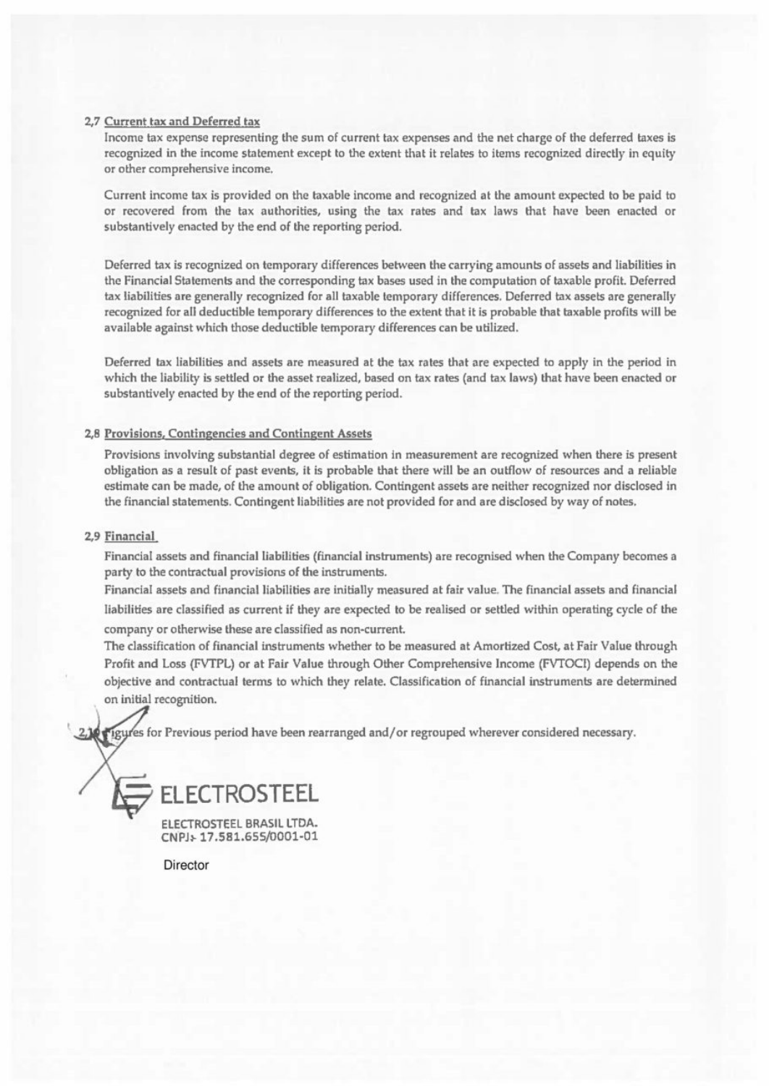## 2,7 Current tax and Deferred tax

Income <sup>t</sup>a<sup>x</sup> expense representing the sum <sup>o</sup><sup>f</sup> current <sup>t</sup>a<sup>x</sup> expenses and the net charge <sup>o</sup><sup>f</sup> the deferred taxes <sup>i</sup><sup>s</sup> recognized <sup>i</sup><sup>n</sup> the income statement except <sup>t</sup><sup>o</sup> the extent that <sup>i</sup><sup>t</sup> relates <sup>t</sup><sup>o</sup> items recognized directly <sup>i</sup><sup>n</sup> equity <sup>o</sup><sup>r</sup> other comprehensive income,

Current income <sup>t</sup>a<sup>x</sup> <sup>i</sup><sup>s</sup> provided on <sup>t</sup>h<sup>e</sup> taxable income and recognized <sup>a</sup><sup>t</sup> <sup>t</sup>h<sup>e</sup> amount expected <sup>t</sup><sup>o</sup> <sup>b</sup><sup>e</sup> paid <sup>t</sup><sup>o</sup> <sup>o</sup><sup>r</sup> recovered from the tax authorities, using the tax rates and tax laws that have been enacted or substantively enacted by the end of the reporting period.

Deferred <sup>t</sup>a<sup>x</sup> <sup>i</sup><sup>s</sup> recognized on temporary differences between <sup>t</sup>h<sup>e</sup> carrying amounts <sup>o</sup><sup>f</sup> assets and <sup>l</sup>iabilitie<sup>s</sup> <sup>i</sup><sup>n</sup> the Financial Statements and the corresponding <sup>t</sup>a<sup>x</sup> bases used <sup>i</sup><sup>n</sup> <sup>t</sup>h<sup>e</sup> computation <sup>o</sup><sup>f</sup> taxable profit. Deferred tax liabilities are generally recognized <sup>f</sup>o<sup>r</sup> <sup>a</sup>ll taxable temporary differences, Deferred tax assets are generally recognized <sup>f</sup>o<sup>r</sup> <sup>a</sup>l<sup>i</sup> deductible temporary differences <sup>t</sup><sup>o</sup> the extent that <sup>i</sup><sup>t</sup> <sup>i</sup><sup>s</sup> probable that taxable profits will be available against which those deductible temporary differences can be utilized.

Deferred <sup>t</sup>a<sup>x</sup> <sup>l</sup>iabilitie<sup>s</sup> and assets are measured <sup>a</sup><sup>t</sup> the <sup>t</sup>a<sup>x</sup> rates that are expected <sup>t</sup><sup>o</sup> apply <sup>i</sup><sup>n</sup> the period <sup>i</sup><sup>n</sup> which the liability <sup>i</sup><sup>s</sup> settled <sup>o</sup><sup>r</sup> the asset realized, based on tax rates (and tax laws) that have been enacted <sup>o</sup><sup>r</sup> substantively enacted by the end of the reporting period.

#### 2,8 Provisions, Contingencies and Contingent Assets

Provisions involving substantial degree <sup>o</sup><sup>f</sup> estimation <sup>i</sup><sup>n</sup> measurement <sup>a</sup>r<sup>e</sup> recognized when there <sup>i</sup><sup>s</sup> present obligation <sup>a</sup><sup>s</sup> <sup>a</sup> result <sup>o</sup><sup>f</sup> past events, <sup>i</sup><sup>t</sup> <sup>i</sup><sup>s</sup> probable that there will be an outflow <sup>o</sup><sup>f</sup> resources and <sup>a</sup> reliable estimate can <sup>b</sup><sup>e</sup> made, <sup>o</sup><sup>f</sup> <sup>t</sup>h<sup>e</sup> amount <sup>o</sup><sup>f</sup> obligation. Contingent assets are neither recognized nor disclosed <sup>i</sup><sup>n</sup> the financial statements, Contingent liabilities are not provided <sup>f</sup>o<sup>r</sup> and are disclosed by way <sup>o</sup><sup>f</sup> notes,

## 2,9 Financial

Financial <sup>a</sup>sset<sup>s</sup> and <sup>f</sup>inancia<sup>l</sup> <sup>l</sup>iabilitie<sup>s</sup> (financia<sup>l</sup> instruments) <sup>a</sup>r<sup>e</sup> recognised when <sup>t</sup>h<sup>e</sup> Company becomes <sup>a</sup> party <sup>t</sup><sup>o</sup> the contractual provisions of the instruments.

Financial assets and financial liabilities are initially measured at fair value. The financial assets and financial liabilities are classified <sup>a</sup><sup>s</sup> current <sup>i</sup><sup>f</sup> they are expected <sup>t</sup><sup>o</sup> be realised or settled within operating cycle of the

company <sup>o</sup><sup>r</sup> otherwise these <sup>a</sup>r<sup>e</sup> classified <sup>a</sup><sup>s</sup> non-current.

The classification <sup>o</sup><sup>f</sup> financial instruments whether <sup>t</sup><sup>o</sup> be measured <sup>a</sup><sup>t</sup> Amortized Cost, <sup>a</sup><sup>t</sup> Fair Value through Profit and Loss (FVTPL) or at Fair Value through Other Comprehensive Income (FVTOCI) depends on the objective and contractual terms <sup>t</sup><sup>o</sup> which they relate. Classification <sup>o</sup><sup>f</sup> financial instruments are determined on initial recognition.

'e<sup>s</sup> <sup>f</sup>o<sup>r</sup> <sup>P</sup>reviou<sup>s</sup> <sup>p</sup>erio<sup>d</sup> <sup>h</sup>av<sup>e</sup> <sup>b</sup>ee<sup>n</sup> <sup>r</sup>earrange<sup>d</sup> <sup>a</sup>nd/o<sup>r</sup> <sup>r</sup>egroupe<sup>d</sup> <sup>w</sup>hereve<sup>r</sup> <sup>c</sup>onsidere<sup>d</sup> <sup>n</sup>ecessary.



ELECTROSTEEL BRASIL LTDA. CNPJ+ 17.581.655/0001-01